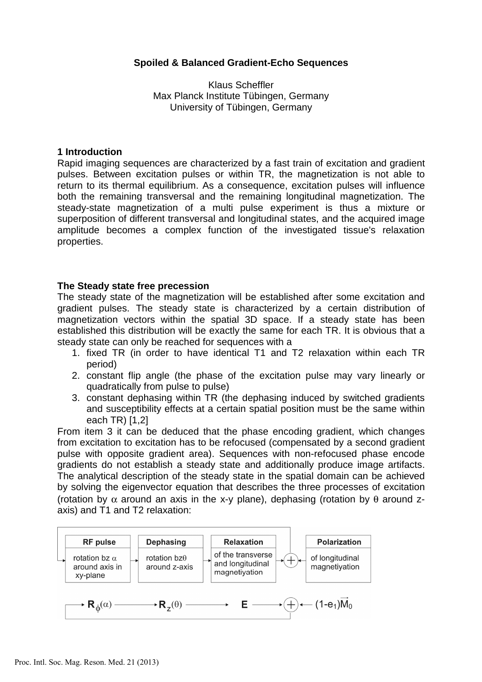# **Spoiled & Balanced Gradient-Echo Sequences**

Klaus Scheffler Max Planck Institute Tübingen, Germany University of Tübingen, Germany

## **1 Introduction**

Rapid imaging sequences are characterized by a fast train of excitation and gradient pulses. Between excitation pulses or within TR, the magnetization is not able to return to its thermal equilibrium. As a consequence, excitation pulses will influence both the remaining transversal and the remaining longitudinal magnetization. The steady-state magnetization of a multi pulse experiment is thus a mixture or superposition of different transversal and longitudinal states, and the acquired image amplitude becomes a complex function of the investigated tissue's relaxation properties.

## **The Steady state free precession**

The steady state of the magnetization will be established after some excitation and gradient pulses. The steady state is characterized by a certain distribution of magnetization vectors within the spatial 3D space. If a steady state has been established this distribution will be exactly the same for each TR. It is obvious that a steady state can only be reached for sequences with a

- 1. fixed TR (in order to have identical T1 and T2 relaxation within each TR period)
- 2. constant flip angle (the phase of the excitation pulse may vary linearly or quadratically from pulse to pulse)
- 3. constant dephasing within TR (the dephasing induced by switched gradients and susceptibility effects at a certain spatial position must be the same within each TR) [1,2]

From item 3 it can be deduced that the phase encoding gradient, which changes from excitation to excitation has to be refocused (compensated by a second gradient pulse with opposite gradient area). Sequences with non-refocused phase encode gradients do not establish a steady state and additionally produce image artifacts. The analytical description of the steady state in the spatial domain can be achieved by solving the eigenvector equation that describes the three processes of excitation (rotation by  $\alpha$  around an axis in the x-y plane), dephasing (rotation by  $\theta$  around zaxis) and T1 and T2 relaxation:

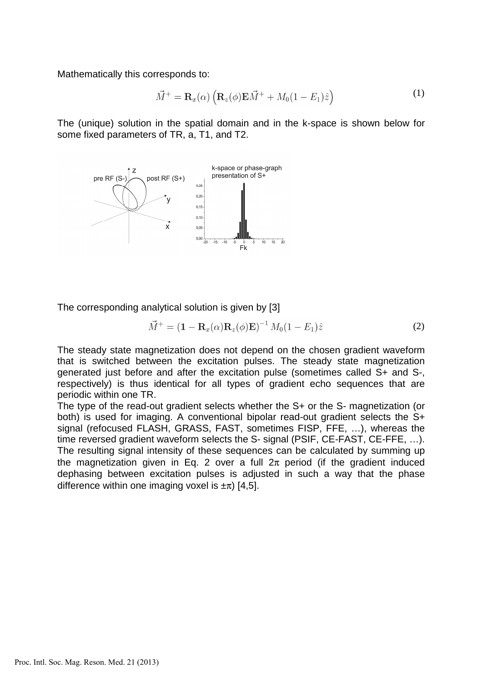Mathematically this corresponds to:

$$
\vec{M}^+ = \mathbf{R}_x(\alpha) \left( \mathbf{R}_z(\phi) \mathbf{E} \vec{M}^+ + M_0 (1 - E_1) \hat{z} \right)
$$
 (1)

The (unique) solution in the spatial domain and in the k-space is shown below for some fixed parameters of TR, a, T1, and T2.



The corresponding analytical solution is given by [3]

$$
\vec{M}^{+} = (\mathbf{1} - \mathbf{R}_{x}(\alpha)\mathbf{R}_{z}(\phi)\mathbf{E})^{-1} M_{0} (1 - E_{1})\hat{z}
$$
\n(2)

The steady state magnetization does not depend on the chosen gradient waveform that is switched between the excitation pulses. The steady state magnetization generated just before and after the excitation pulse (sometimes called S+ and S-, respectively) is thus identical for all types of gradient echo sequences that are periodic within one TR.

The type of the read-out gradient selects whether the S+ or the S- magnetization (or both) is used for imaging. A conventional bipolar read-out gradient selects the S+ signal (refocused FLASH, GRASS, FAST, sometimes FISP, FFE, …), whereas the time reversed gradient waveform selects the S- signal (PSIF, CE-FAST, CE-FFE, …). The resulting signal intensity of these sequences can be calculated by summing up the magnetization given in Eq. 2 over a full  $2\pi$  period (if the gradient induced dephasing between excitation pulses is adjusted in such a way that the phase difference within one imaging voxel is  $\pm \pi$ ) [4,5].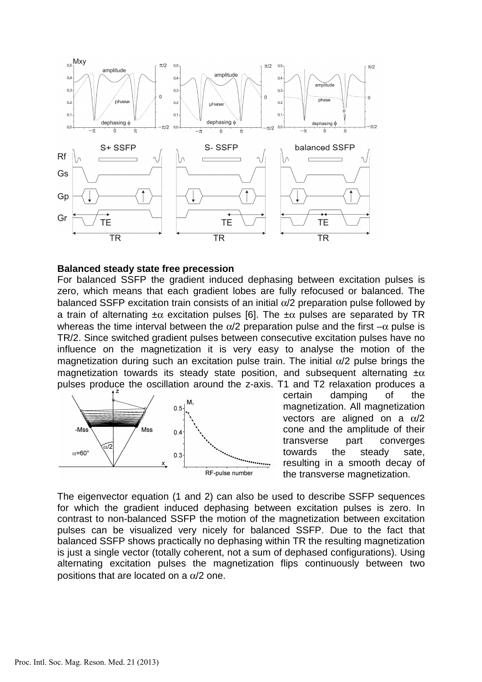

#### **Balanced steady state free precession**

For balanced SSFP the gradient induced dephasing between excitation pulses is zero, which means that each gradient lobes are fully refocused or balanced. The balanced SSFP excitation train consists of an initial  $\alpha/2$  preparation pulse followed by a train of alternating  $\pm \alpha$  excitation pulses [6]. The  $\pm \alpha$  pulses are separated by TR whereas the time interval between the  $\alpha/2$  preparation pulse and the first  $-\alpha$  pulse is TR/2. Since switched gradient pulses between consecutive excitation pulses have no influence on the magnetization it is very easy to analyse the motion of the magnetization during such an excitation pulse train. The initial  $\alpha/2$  pulse brings the magnetization towards its steady state position, and subsequent alternating  $\pm \alpha$ pulses produce the oscillation around the z-axis. T1 and T2 relaxation produces a



certain damping of the magnetization. All magnetization vectors are aligned on a  $\alpha/2$ cone and the amplitude of their transverse part converges towards the steady sate, resulting in a smooth decay of the transverse magnetization.

The eigenvector equation (1 and 2) can also be used to describe SSFP sequences for which the gradient induced dephasing between excitation pulses is zero. In contrast to non-balanced SSFP the motion of the magnetization between excitation pulses can be visualized very nicely for balanced SSFP. Due to the fact that balanced SSFP shows practically no dephasing within TR the resulting magnetization is just a single vector (totally coherent, not a sum of dephased configurations). Using alternating excitation pulses the magnetization flips continuously between two positions that are located on a  $\alpha/2$  one.